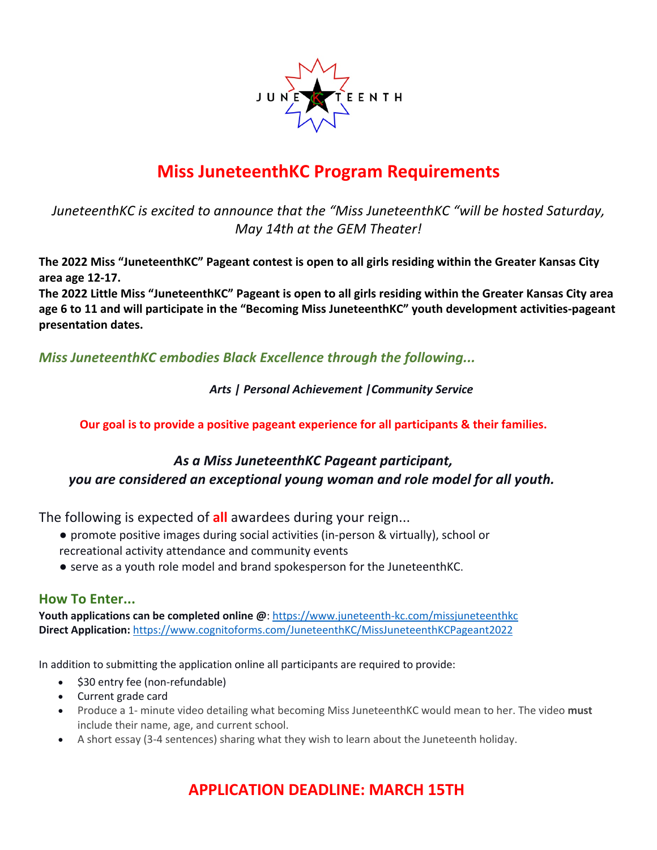

### **Miss JuneteenthKC Program Requirements**

*JuneteenthKC is excited to announce that the "Miss JuneteenthKC "will be hosted Saturday, May 14th at the GEM Theater!*

**The 2022 Miss "JuneteenthKC" Pageant contest is open to all girls residing within the Greater Kansas City area age 12-17.** 

**The 2022 Little Miss "JuneteenthKC" Pageant is open to all girls residing within the Greater Kansas City area age 6 to 11 and will participate in the "Becoming Miss JuneteenthKC" youth development activities-pageant presentation dates.** 

*Miss JuneteenthKC embodies Black Excellence through the following...*

 *Arts | Personal Achievement |Community Service*

**Our goal is to provide a positive pageant experience for all participants & their families.** 

#### *As a Miss JuneteenthKC Pageant participant, you are considered an exceptional young woman and role model for all youth.*

The following is expected of **all** awardees during your reign...

- promote positive images during social activities (in-person & virtually), school or recreational activity attendance and community events
- serve as a youth role model and brand spokesperson for the JuneteenthKC.

#### **How To Enter...**

**Youth applications can be completed online @**: https://www.juneteenth-kc.com/missjuneteenthkc **Direct Application:** https://www.cognitoforms.com/JuneteenthKC/MissJuneteenthKCPageant2022

In addition to submitting the application online all participants are required to provide:

- \$30 entry fee (non-refundable)
- Current grade card
- Produce a 1- minute video detailing what becoming Miss JuneteenthKC would mean to her. The video **must** include their name, age, and current school.
- A short essay (3-4 sentences) sharing what they wish to learn about the Juneteenth holiday.

### **APPLICATION DEADLINE: MARCH 15TH**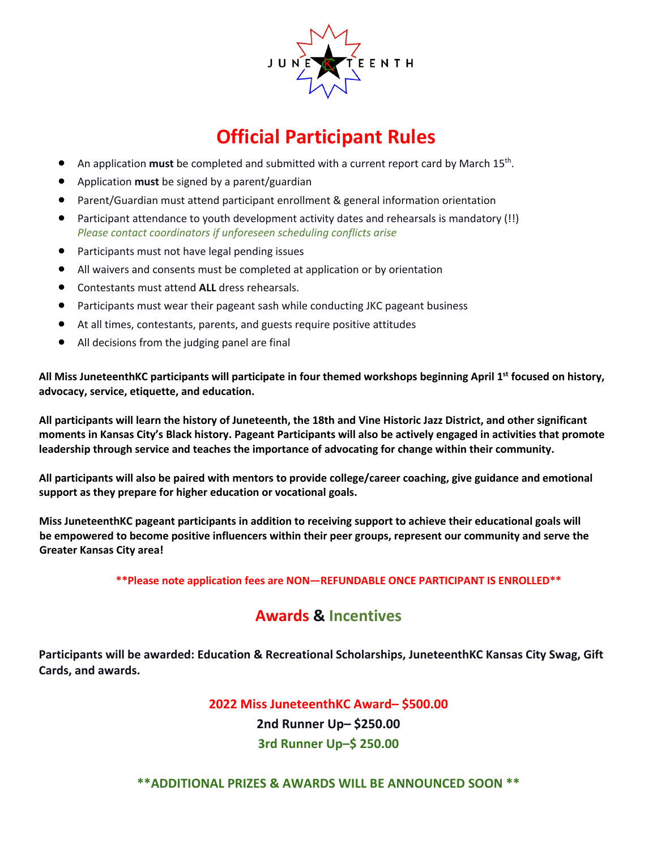

# **Official Participant Rules**

- An application **must** be completed and submitted with a current report card by March 15th.
- Application **must** be signed by a parent/guardian
- Parent/Guardian must attend participant enrollment & general information orientation
- Participant attendance to youth development activity dates and rehearsals is mandatory (!!) *Please contact coordinators if unforeseen scheduling conflicts arise*
- Participants must not have legal pending issues
- All waivers and consents must be completed at application or by orientation
- Contestants must attend **ALL** dress rehearsals.
- Participants must wear their pageant sash while conducting JKC pageant business
- At all times, contestants, parents, and guests require positive attitudes
- All decisions from the judging panel are final

**All Miss JuneteenthKC participants will participate in four themed workshops beginning April 1st focused on history, advocacy, service, etiquette, and education.**

**All participants will learn the history of Juneteenth, the 18th and Vine Historic Jazz District, and other significant moments in Kansas City's Black history. Pageant Participants will also be actively engaged in activities that promote leadership through service and teaches the importance of advocating for change within their community.** 

**All participants will also be paired with mentors to provide college/career coaching, give guidance and emotional support as they prepare for higher education or vocational goals.** 

**Miss JuneteenthKC pageant participants in addition to receiving support to achieve their educational goals will be empowered to become positive influencers within their peer groups, represent our community and serve the Greater Kansas City area!** 

**\*\*Please note application fees are NON—REFUNDABLE ONCE PARTICIPANT IS ENROLLED\*\***

#### **Awards & Incentives**

**Participants will be awarded: Education & Recreational Scholarships, JuneteenthKC Kansas City Swag, Gift Cards, and awards.**

**2022 Miss JuneteenthKC Award– \$500.00**

**2nd Runner Up– \$250.00 3rd Runner Up–\$ 250.00**

**\*\*ADDITIONAL PRIZES & AWARDS WILL BE ANNOUNCED SOON \*\***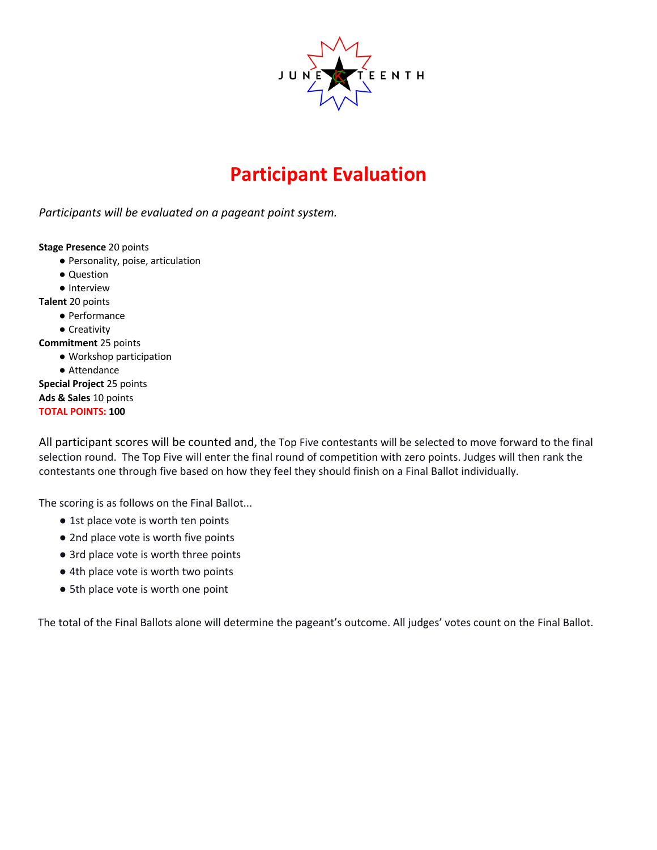

# **Participant Evaluation**

*Participants will be evaluated on a pageant point system.*

**Stage Presence** 20 points

- Personality, poise, articulation
- Question
- Interview

**Talent** 20 points

● Performance

● Creativity

**Commitment** 25 points

- Workshop participation
- Attendance

**Special Project** 25 points **Ads & Sales** 10 points **TOTAL POINTS: 100**

All participant scores will be counted and, the Top Five contestants will be selected to move forward to the final selection round. The Top Five will enter the final round of competition with zero points. Judges will then rank the contestants one through five based on how they feel they should finish on a Final Ballot individually.

The scoring is as follows on the Final Ballot...

- 1st place vote is worth ten points
- 2nd place vote is worth five points
- 3rd place vote is worth three points
- 4th place vote is worth two points
- 5th place vote is worth one point

The total of the Final Ballots alone will determine the pageant's outcome. All judges' votes count on the Final Ballot.